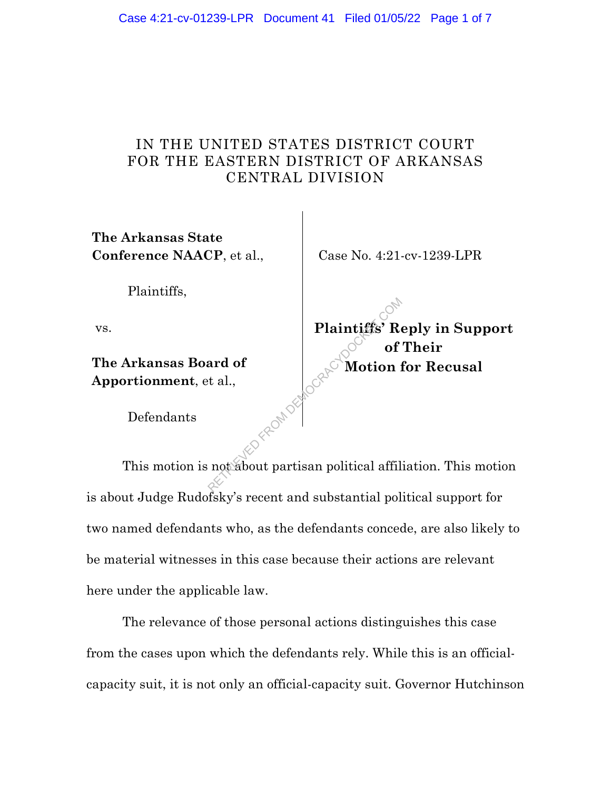## IN THE UNITED STATES DISTRICT COURT FOR THE EASTERN DISTRICT OF ARKANSAS CENTRAL DIVISION

**The Arkansas State Conference NAACP**, et al.,

Case No. 4:21-cv-1239-LPR

Plaintiffs,

vs.

**The Arkansas Board of Apportionment**, et al.,

**Plaintiffs' Reply in Support of Their Motion for Recusal**

Defendants

This motion is not about partisan political affiliation. This motion is about Judge Rudofsky's recent and substantial political support for two named defendants who, as the defendants concede, are also likely to be material witnesses in this case because their actions are relevant here under the applicable law. Plaintiffs' Repair of the compact of the compact of the compact of the compact of  $\mathbb{R}^n$  and  $\mathbb{R}^n$  and  $\mathbb{R}^n$  and  $\mathbb{R}^n$  and  $\mathbb{R}^n$  and  $\mathbb{R}^n$  and  $\mathbb{R}^n$  and  $\mathbb{R}^n$  and  $\mathbb{R}^n$  and  $\mathbb{$ 

The relevance of those personal actions distinguishes this case from the cases upon which the defendants rely. While this is an officialcapacity suit, it is not only an official-capacity suit. Governor Hutchinson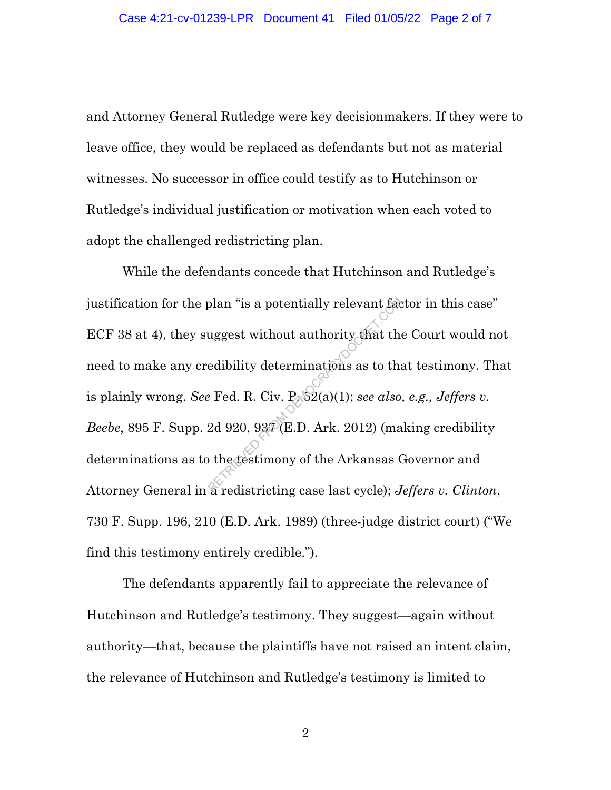and Attorney General Rutledge were key decisionmakers. If they were to leave office, they would be replaced as defendants but not as material witnesses. No successor in office could testify as to Hutchinson or Rutledge's individual justification or motivation when each voted to adopt the challenged redistricting plan.

While the defendants concede that Hutchinson and Rutledge's justification for the plan "is a potentially relevant factor in this case" ECF 38 at 4), they suggest without authority that the Court would not need to make any credibility determinations as to that testimony. That is plainly wrong. *See* Fed. R. Civ. P. 52(a)(1); *see also, e.g., Jeffers v. Beebe*, 895 F. Supp. 2d 920, 937 (E.D. Ark. 2012) (making credibility determinations as to the testimony of the Arkansas Governor and Attorney General in a redistricting case last cycle); *Jeffers v. Clinton*, 730 F. Supp. 196, 210 (E.D. Ark. 1989) (three-judge district court) ("We find this testimony entirely credible."). plan "is a potentially relevant factor"<br>uggest without authority that the<br>edibility determinations as to the<br> $P \to \text{Fed. R. Civ. P \to 2(a)(1); see also}$ <br>2d 920, 93 $P(E.D. Ark. 2012)$  (ma<br>other festimony of the Arkansas (

The defendants apparently fail to appreciate the relevance of Hutchinson and Rutledge's testimony. They suggest—again without authority—that, because the plaintiffs have not raised an intent claim, the relevance of Hutchinson and Rutledge's testimony is limited to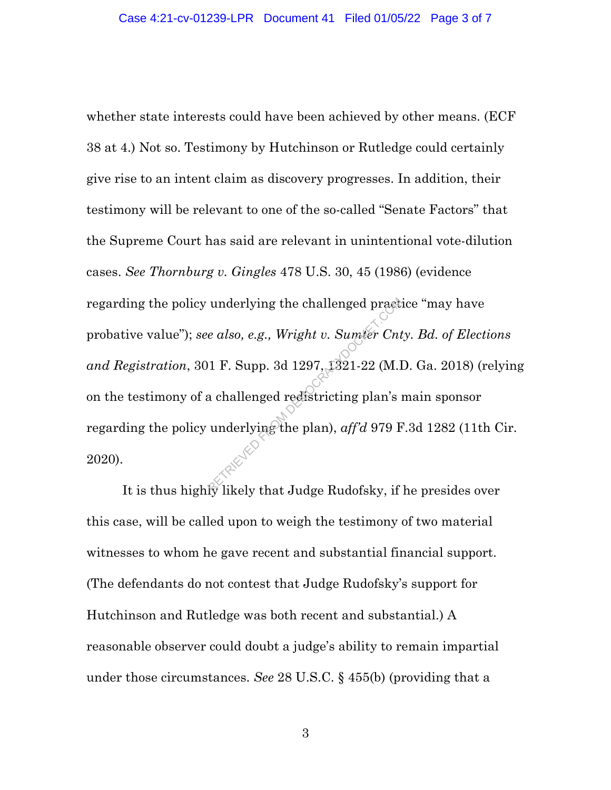whether state interests could have been achieved by other means. (ECF 38 at 4.) Not so. Testimony by Hutchinson or Rutledge could certainly give rise to an intent claim as discovery progresses. In addition, their testimony will be relevant to one of the so-called "Senate Factors" that the Supreme Court has said are relevant in unintentional vote-dilution cases. *See Thornburg v. Gingles* 478 U.S. 30, 45 (1986) (evidence regarding the policy underlying the challenged practice "may have probative value"); *see also, e.g., Wright v. Sumter Cnty. Bd. of Elections and Registration*, 301 F. Supp. 3d 1297, 1321-22 (M.D. Ga. 2018) (relying on the testimony of a challenged redistricting plan's main sponsor regarding the policy underlying the plan), *aff'd* 979 F.3d 1282 (11th Cir. 2020). underlying the challenged practice also, e.g., Wright v. Sumter Cnt<br>1 F. Supp. 3d 1297, 1321-22 (M.I<br>a challenged redistricting plan's inderlying the plan), aff'd 979 F

It is thus highly likely that Judge Rudofsky, if he presides over this case, will be called upon to weigh the testimony of two material witnesses to whom he gave recent and substantial financial support. (The defendants do not contest that Judge Rudofsky's support for Hutchinson and Rutledge was both recent and substantial.) A reasonable observer could doubt a judge's ability to remain impartial under those circumstances. *See* 28 U.S.C. § 455(b) (providing that a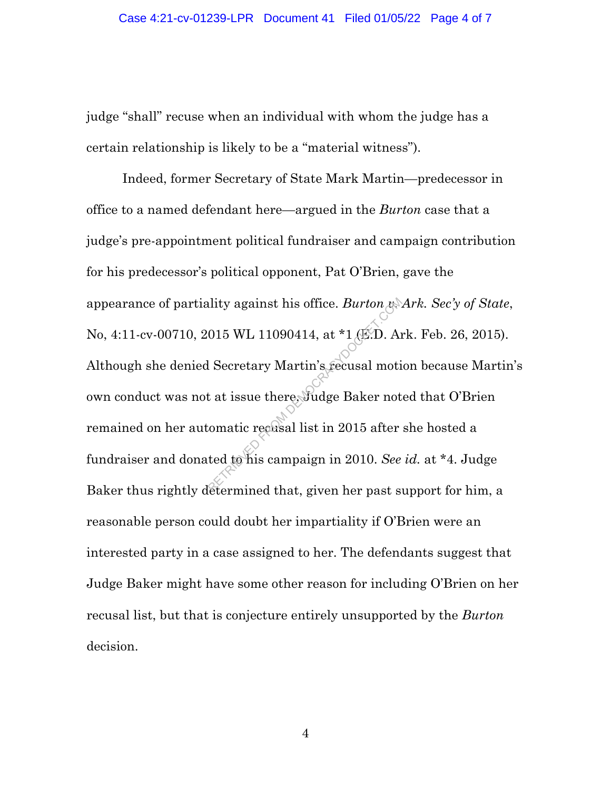judge "shall" recuse when an individual with whom the judge has a certain relationship is likely to be a "material witness").

Indeed, former Secretary of State Mark Martin—predecessor in office to a named defendant here—argued in the *Burton* case that a judge's pre-appointment political fundraiser and campaign contribution for his predecessor's political opponent, Pat O'Brien, gave the appearance of partiality against his office. *Burton v. Ark. Sec'y of State*, No, 4:11-cv-00710, 2015 WL 11090414, at \*1 (E.D. Ark. Feb. 26, 2015). Although she denied Secretary Martin's recusal motion because Martin's own conduct was not at issue there, Judge Baker noted that O'Brien remained on her automatic recusal list in 2015 after she hosted a fundraiser and donated to his campaign in 2010. *See id.* at \*4. Judge Baker thus rightly determined that, given her past support for him, a reasonable person could doubt her impartiality if O'Brien were an interested party in a case assigned to her. The defendants suggest that Judge Baker might have some other reason for including O'Brien on her recusal list, but that is conjecture entirely unsupported by the *Burton* decision. olity against his office. *Burton res*<br>015 WL 11090414, at \*1 (E.D. And<br>1 Secretary Martin's recusal motion<br>t at issue there. Judge Baker not<br>comatic recusal list in 2015 after<br>ted to his campaign in 2010. See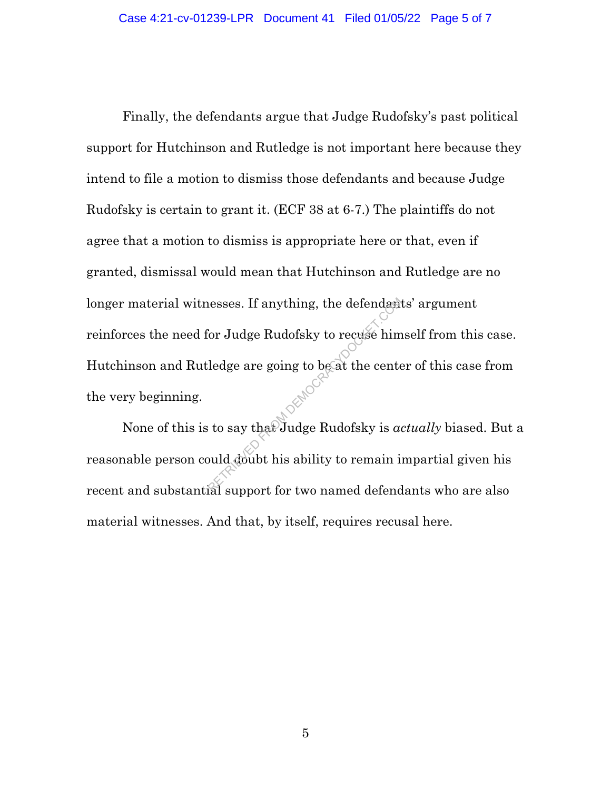Finally, the defendants argue that Judge Rudofsky's past political support for Hutchinson and Rutledge is not important here because they intend to file a motion to dismiss those defendants and because Judge Rudofsky is certain to grant it. (ECF 38 at 6-7.) The plaintiffs do not agree that a motion to dismiss is appropriate here or that, even if granted, dismissal would mean that Hutchinson and Rutledge are no longer material witnesses. If anything, the defendants' argument reinforces the need for Judge Rudofsky to recuse himself from this case. Hutchinson and Rutledge are going to be at the center of this case from the very beginning. Resses. If anything, the defendant<br>
Sor Judge Rudofsky to recuse him<br>
ledge are going to be at the cent<br>
is to say that Judge Rudofsky is a<br>
buld doubt his ability to remain is<br>
also unport for two named defend

None of this is to say that Judge Rudofsky is *actually* biased. But a reasonable person could doubt his ability to remain impartial given his recent and substantial support for two named defendants who are also material witnesses. And that, by itself, requires recusal here.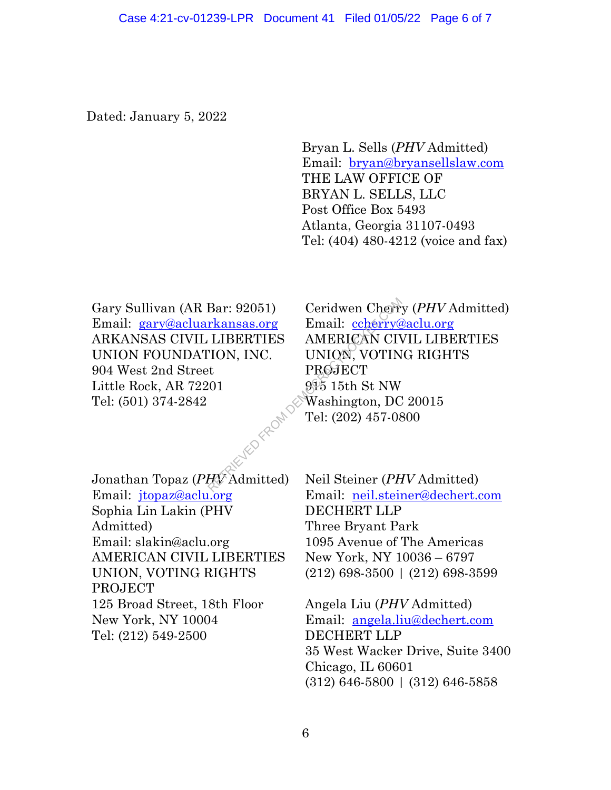Dated: January 5, 2022

Bryan L. Sells (*PHV* Admitted) Email: bryan@bryansellslaw.com THE LAW OFFICE OF BRYAN L. SELLS, LLC Post Office Box 5493 Atlanta, Georgia 31107-0493 Tel: (404) 480-4212 (voice and fax)

Gary Sullivan (AR Bar: 92051) Email: gary@acluarkansas.org ARKANSAS CIVIL LIBERTIES UNION FOUNDATION, INC. 904 West 2nd Street Little Rock, AR 72201 Tel: (501) 374-2842

Jonathan Topaz (*PHV* Admitted) Email: jtopaz@aclu.org Sophia Lin Lakin (PHV Admitted) Email: slakin@aclu.org AMERICAN CIVIL LIBERTIES UNION, VOTING RIGHTS PROJECT 125 Broad Street, 18th Floor New York, NY 10004 Tel: (212) 549-2500

Ceridwen Cherry (*PHV* Admitted) Email: ccherry@aclu.org AMERICAN CIVIL LIBERTIES UNION, VOTING RIGHTS **PROJECT** 915 15th St NW Washington, DC 20015 Tel: (202) 457-0800 Bar: 92051) Ceridwen Cherry<br>
<u>rkansas.org</u> Email: <u>ccherry@</u><br>
LIBERTIES AMERICAN CIN<br>
TION, INC. UNION, VOTIN<br>
PROJECT<br>
201 915 15th St NW<br>
Washington, DC<br>
Tel: (202) 457-08<br>
Tel: (202) 457-08<br>
PV Admitted) Neil Steiner (

Neil Steiner (*PHV* Admitted) Email: neil.steiner@dechert.com DECHERT LLP Three Bryant Park 1095 Avenue of The Americas New York, NY 10036 – 6797 (212) 698-3500 | (212) 698-3599

Angela Liu (*PHV* Admitted) Email: angela.liu@dechert.com DECHERT LLP 35 West Wacker Drive, Suite 3400 Chicago, IL 60601 (312) 646-5800 | (312) 646-5858